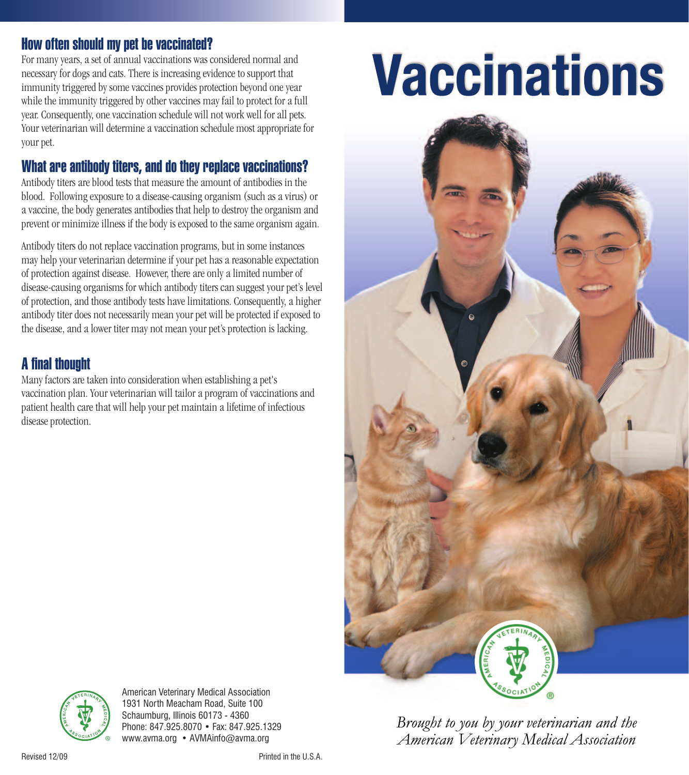## **How often should my pet be vaccinated?**

For many years, a set of annual vaccinations was considered normal and necessary for dogs and cats. There is increasing evidence to support that immunity triggered by some vaccines provides protection beyond one year while the immunity triggered by other vaccines may fail to protect for a full year. Consequently, one vaccination schedule will not work well for all pets. Your veterinarian will determine a vaccination schedule most appropriate for your pet.

# **What are antibody titers, and do they replace vaccinations?**

Antibody titers are blood tests that measure the amount of antibodies in the blood. Following exposure to a disease-causing organism (such as a virus) or a vaccine, the body generates antibodies that help to destroy the organism and prevent or minimize illness if the body is exposed to the same organism again.

Antibody titers do not replace vaccination programs, but in some instances may help your veterinarian determine if your pet has a reasonable expectation of protection against disease. However, there are only a limited number of disease-causing organisms for which antibody titers can suggest your pet's level of protection, and those antibody tests have limitations. Consequently, a higher antibody titer does not necessarily mean your pet will be protected if exposed to the disease, and a lower titer may not mean your pet's protection is lacking.

## **Afinal thought**

Many factors are taken into consideration when establishing a pet's vaccination plan. Your veterinarian will tailor a program of vaccinations and patient health care that will help your pet maintain a lifetime of infectious disease protection.

# **Vaccinations**





American Veterinary Medical Association

Brought to you by your veterinarian and the American Veterinary Medical Association



Revised 12/09 Printed in the U.S.A.